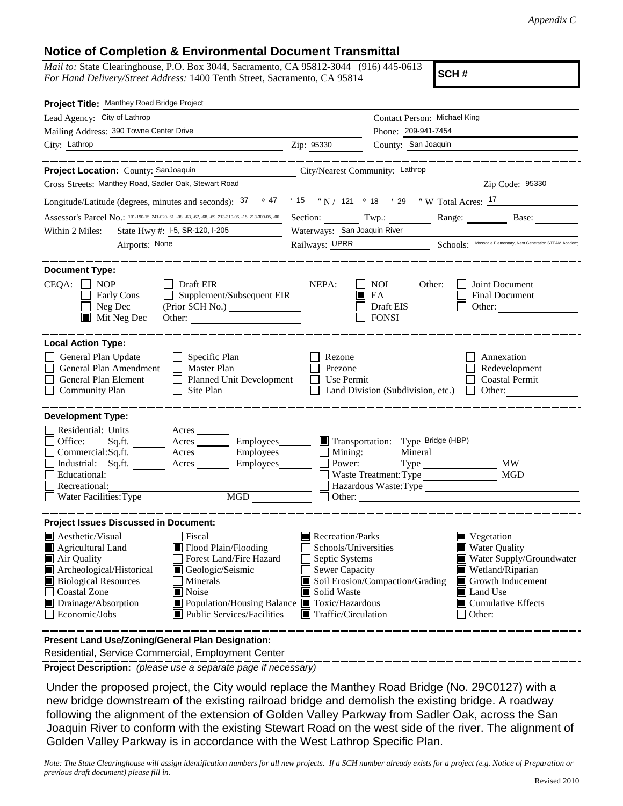## **Notice of Completion & Environmental Document Transmittal**

*Mail to:* State Clearinghouse, P.O. Box 3044, Sacramento, CA 95812-3044 (916) 445-0613 *For Hand Delivery/Street Address:* 1400 Tenth Street, Sacramento, CA 95814

**SCH #**

| Project Title: Manthey Road Bridge Project                                                                                                                                                   |                                                                                               |                                                         |                                                                 |  |  |  |  |
|----------------------------------------------------------------------------------------------------------------------------------------------------------------------------------------------|-----------------------------------------------------------------------------------------------|---------------------------------------------------------|-----------------------------------------------------------------|--|--|--|--|
| Lead Agency: City of Lathrop                                                                                                                                                                 |                                                                                               | Contact Person: Michael King                            |                                                                 |  |  |  |  |
| Mailing Address: 390 Towne Center Drive                                                                                                                                                      | Phone: 209-941-7454                                                                           |                                                         |                                                                 |  |  |  |  |
| City: Lathrop                                                                                                                                                                                | Zip: 95330                                                                                    | County: San Joaquin                                     |                                                                 |  |  |  |  |
|                                                                                                                                                                                              |                                                                                               |                                                         |                                                                 |  |  |  |  |
| Project Location: County: SanJoaquin<br>City/Nearest Community: Lathrop                                                                                                                      |                                                                                               |                                                         |                                                                 |  |  |  |  |
| Cross Streets: Manthey Road, Sadler Oak, Stewart Road                                                                                                                                        |                                                                                               |                                                         | Zip Code: 95330                                                 |  |  |  |  |
| Longitude/Latitude (degrees, minutes and seconds): $\frac{37}{2}$ $\frac{47}{15}$ $\frac{15}{10}$ N / 121 $\degree$ 18 $\degree$ 18 $\degree$ W Total Acres: $\frac{17}{2}$                  |                                                                                               |                                                         |                                                                 |  |  |  |  |
| Assessor's Parcel No.: 191-190-15, 241-020-61, -08, -63, -67, -68, -69, 213-310-06, -15, 213-300-05, -06 Section: Twp.: Twp.:                                                                |                                                                                               |                                                         | Range: Base:                                                    |  |  |  |  |
| State Hwy #: I-5, SR-120, I-205<br>Within 2 Miles:                                                                                                                                           | Waterways: San Joaquin River                                                                  |                                                         |                                                                 |  |  |  |  |
| Airports: None                                                                                                                                                                               | Railways: UPRR Schools: Mossdale Elementary, Next Generation STEAM Academy                    |                                                         |                                                                 |  |  |  |  |
| <b>Document Type:</b><br>$CEQA: \Box NP$<br>$\Box$ Draft EIR<br>Supplement/Subsequent EIR<br>Early Cons<br>Neg Dec<br>$\blacksquare$ Mit Neg Dec<br>Other:                                   | NEPA:                                                                                         | <b>NOI</b><br>Other:<br>EA<br>Draft EIS<br><b>FONSI</b> | Joint Document<br><b>Final Document</b><br>Other: $\frac{1}{2}$ |  |  |  |  |
| <b>Local Action Type:</b>                                                                                                                                                                    |                                                                                               |                                                         |                                                                 |  |  |  |  |
| General Plan Update<br>$\Box$ Specific Plan<br>General Plan Amendment<br>$\Box$ Master Plan<br>General Plan Element<br>Planned Unit Development<br><b>Community Plan</b><br>$\Box$ Site Plan | Rezone<br>Prezone<br>Use Permit                                                               | Land Division (Subdivision, etc.)                       | Annexation<br>Redevelopment<br><b>Coastal Permit</b>            |  |  |  |  |
| <b>Development Type:</b>                                                                                                                                                                     |                                                                                               |                                                         |                                                                 |  |  |  |  |
| Residential: Units _________ Acres _______                                                                                                                                                   |                                                                                               |                                                         |                                                                 |  |  |  |  |
| Office:<br>Sq.ft. ________ Acres _________ Employees _______ ■ Transportation: Type Bridge (HBP)                                                                                             |                                                                                               |                                                         |                                                                 |  |  |  |  |
| Commercial:Sq.ft. ________ Acres _________ Employees _______ __ Mining:<br>Industrial: Sq.ft. _______ Acres _______ Employees _______ $\Box$                                                 |                                                                                               | Mineral<br>Power:                                       |                                                                 |  |  |  |  |
| Educational:                                                                                                                                                                                 |                                                                                               | Waste Treatment: Type                                   | MGD                                                             |  |  |  |  |
| Recreational:                                                                                                                                                                                |                                                                                               |                                                         |                                                                 |  |  |  |  |
| Water Facilities: Type                                                                                                                                                                       |                                                                                               | $\Box$ Other:                                           |                                                                 |  |  |  |  |
|                                                                                                                                                                                              |                                                                                               |                                                         |                                                                 |  |  |  |  |
| <b>Project Issues Discussed in Document:</b>                                                                                                                                                 |                                                                                               |                                                         |                                                                 |  |  |  |  |
| $\blacksquare$ Aesthetic/Visual<br>  Fiscal<br>Flood Plain/Flooding<br>$\blacksquare$ Agricultural Land                                                                                      | Recreation/Parks<br>$\blacksquare$ Vegetation<br><b>Water Quality</b><br>Schools/Universities |                                                         |                                                                 |  |  |  |  |
| Forest Land/Fire Hazard<br>Air Quality                                                                                                                                                       | Septic Systems<br>Water Supply/Groundwater                                                    |                                                         |                                                                 |  |  |  |  |
| Archeological/Historical<br>Geologic/Seismic                                                                                                                                                 | Sewer Capacity<br>$\blacksquare$ Wetland/Riparian                                             |                                                         |                                                                 |  |  |  |  |
| <b>Biological Resources</b><br>Minerals<br><b>Coastal Zone</b>                                                                                                                               | Soil Erosion/Compaction/Grading<br>$\Box$ Growth Inducement                                   |                                                         |                                                                 |  |  |  |  |
| $\blacksquare$ Noise<br>Drainage/Absorption<br>Population/Housing Balance ■ Toxic/Hazardous                                                                                                  | Solid Waste<br>Land Use<br>$\blacksquare$ Cumulative Effects                                  |                                                         |                                                                 |  |  |  |  |
| Economic/Jobs<br>■ Public Services/Facilities                                                                                                                                                | $\blacksquare$ Traffic/Circulation<br>Other:                                                  |                                                         |                                                                 |  |  |  |  |
|                                                                                                                                                                                              |                                                                                               |                                                         |                                                                 |  |  |  |  |

**Present Land Use/Zoning/General Plan Designation:**

Residential, Service Commercial, Employment Center

**Project Description:** *(please use a separate page if necessary)*

 Under the proposed project, the City would replace the Manthey Road Bridge (No. 29C0127) with a new bridge downstream of the existing railroad bridge and demolish the existing bridge. A roadway following the alignment of the extension of Golden Valley Parkway from Sadler Oak, across the San Joaquin River to conform with the existing Stewart Road on the west side of the river. The alignment of Golden Valley Parkway is in accordance with the West Lathrop Specific Plan.

*Note: The State Clearinghouse will assign identification numbers for all new projects. If a SCH number already exists for a project (e.g. Notice of Preparation or previous draft document) please fill in.*